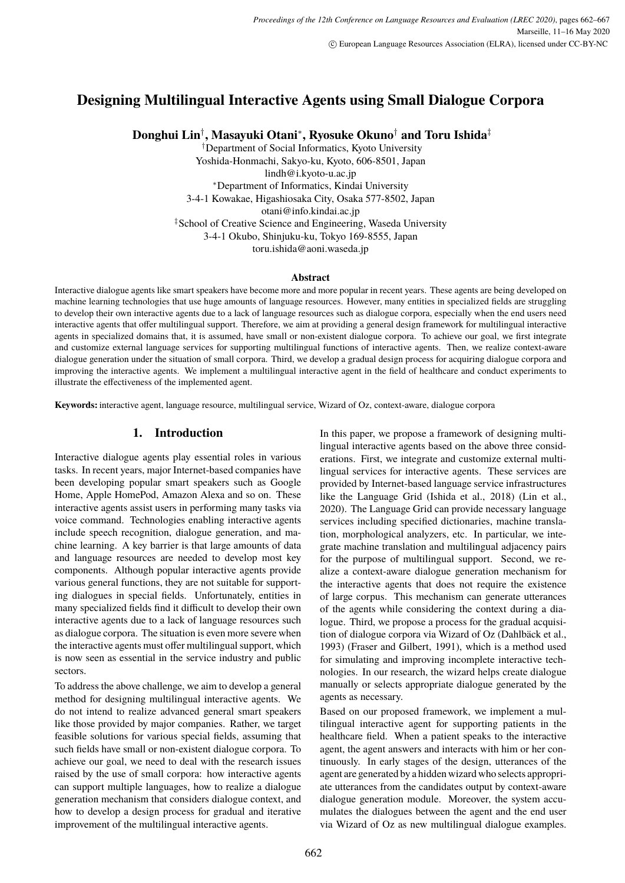# <span id="page-0-0"></span>**Designing Multilingual Interactive Agents using Small Dialogue Corpora**

**Donghui Lin**† **, Masayuki Otani**<sup>∗</sup> **, Ryosuke Okuno**† **and Toru Ishida**‡

†Department of Social Informatics, Kyoto University Yoshida-Honmachi, Sakyo-ku, Kyoto, 606-8501, Japan lindh@i.kyoto-u.ac.jp <sup>∗</sup>Department of Informatics, Kindai University 3-4-1 Kowakae, Higashiosaka City, Osaka 577-8502, Japan otani@info.kindai.ac.jp ‡School of Creative Science and Engineering, Waseda University 3-4-1 Okubo, Shinjuku-ku, Tokyo 169-8555, Japan toru.ishida@aoni.waseda.jp

#### **Abstract**

Interactive dialogue agents like smart speakers have become more and more popular in recent years. These agents are being developed on machine learning technologies that use huge amounts of language resources. However, many entities in specialized fields are struggling to develop their own interactive agents due to a lack of language resources such as dialogue corpora, especially when the end users need interactive agents that offer multilingual support. Therefore, we aim at providing a general design framework for multilingual interactive agents in specialized domains that, it is assumed, have small or non-existent dialogue corpora. To achieve our goal, we first integrate and customize external language services for supporting multilingual functions of interactive agents. Then, we realize context-aware dialogue generation under the situation of small corpora. Third, we develop a gradual design process for acquiring dialogue corpora and improving the interactive agents. We implement a multilingual interactive agent in the field of healthcare and conduct experiments to illustrate the effectiveness of the implemented agent.

**Keywords:** interactive agent, language resource, multilingual service, Wizard of Oz, context-aware, dialogue corpora

# **1. Introduction**

Interactive dialogue agents play essential roles in various tasks. In recent years, major Internet-based companies have been developing popular smart speakers such as Google Home, Apple HomePod, Amazon Alexa and so on. These interactive agents assist users in performing many tasks via voice command. Technologies enabling interactive agents include speech recognition, dialogue generation, and machine learning. A key barrier is that large amounts of data and language resources are needed to develop most key components. Although popular interactive agents provide various general functions, they are not suitable for supporting dialogues in special fields. Unfortunately, entities in many specialized fields find it difficult to develop their own interactive agents due to a lack of language resources such as dialogue corpora. The situation is even more severe when the interactive agents must offer multilingual support, which is now seen as essential in the service industry and public sectors.

To address the above challenge, we aim to develop a general method for designing multilingual interactive agents. We do not intend to realize advanced general smart speakers like those provided by major companies. Rather, we target feasible solutions for various special fields, assuming that such fields have small or non-existent dialogue corpora. To achieve our goal, we need to deal with the research issues raised by the use of small corpora: how interactive agents can support multiple languages, how to realize a dialogue generation mechanism that considers dialogue context, and how to develop a design process for gradual and iterative improvement of the multilingual interactive agents.

In this paper, we propose a framework of designing multilingual interactive agents based on the above three considerations. First, we integrate and customize external multilingual services for interactive agents. These services are provided by Internet-based language service infrastructures like the Language Grid (Ishida et al., 2018) (Lin et al., 2020). The Language Grid can provide necessary language services including specified dictionaries, machine translation, morphological analyzers, etc. In particular, we integrate machine translation and multilingual adjacency pairs for the purpose of multilingual support. Second, we realize a context-aware dialogue generation mechanism for the interactive agents that does not require the existence of large corpus. This mechanism can generate utterances of the agents while considering the context during a dialogue. Third, we propose a process for the gradual acquisition of dialogue corpora via Wizard of Oz (Dahlbäck et al., 1993) (Fraser and Gilbert, 1991), which is a method used for simulating and improving incomplete interactive technologies. In our research, the wizard helps create dialogue manually or selects appropriate dialogue generated by the agents as necessary.

Based on our proposed framework, we implement a multilingual interactive agent for supporting patients in the healthcare field. When a patient speaks to the interactive agent, the agent answers and interacts with him or her continuously. In early stages of the design, utterances of the agent are generated by a hidden wizard who selects appropriate utterances from the candidates output by context-aware dialogue generation module. Moreover, the system accumulates the dialogues between the agent and the end user via Wizard of Oz as new multilingual dialogue examples.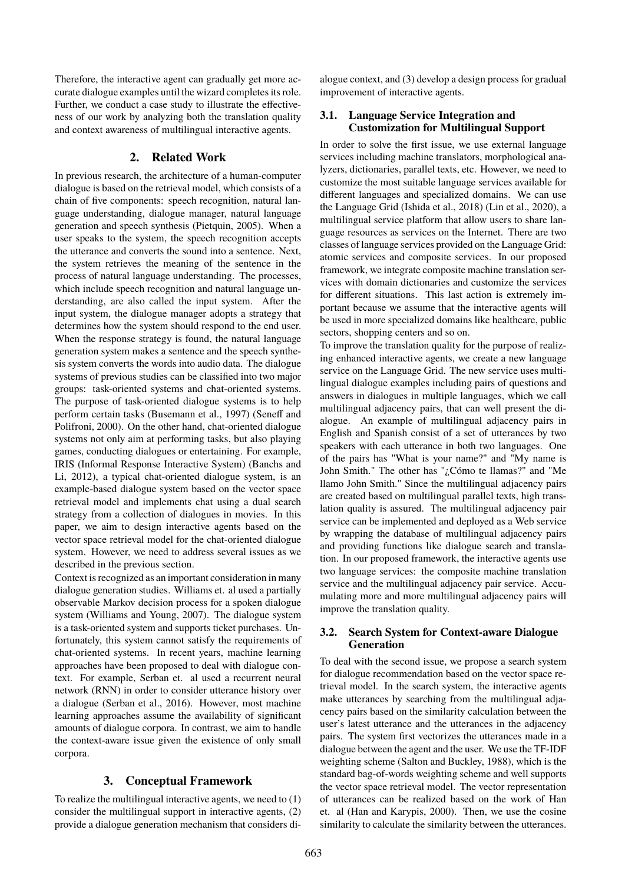Therefore, the interactive agent can gradually get more accurate dialogue examples until the wizard completes its role. Further, we conduct a case study to illustrate the effectiveness of our work by analyzing both the translation quality and context awareness of multilingual interactive agents.

## **2. Related Work**

In previous research, the architecture of a human-computer dialogue is based on the retrieval model, which consists of a chain of five components: speech recognition, natural language understanding, dialogue manager, natural language generation and speech synthesis [\(Pietquin, 2005\)](#page-0-0). When a user speaks to the system, the speech recognition accepts the utterance and converts the sound into a sentence. Next, the system retrieves the meaning of the sentence in the process of natural language understanding. The processes, which include speech recognition and natural language understanding, are also called the input system. After the input system, the dialogue manager adopts a strategy that determines how the system should respond to the end user. When the response strategy is found, the natural language generation system makes a sentence and the speech synthesis system converts the words into audio data. The dialogue systems of previous studies can be classified into two major groups: task-oriented systems and chat-oriented systems. The purpose of task-oriented dialogue systems is to help perform certain tasks [\(Busemann et al., 1997\)](#page-0-0) [\(Seneff and](#page-0-0) [Polifroni, 2000\)](#page-0-0). On the other hand, chat-oriented dialogue systems not only aim at performing tasks, but also playing games, conducting dialogues or entertaining. For example, IRIS (Informal Response Interactive System) [\(Banchs and](#page-0-0) [Li, 2012\)](#page-0-0), a typical chat-oriented dialogue system, is an example-based dialogue system based on the vector space retrieval model and implements chat using a dual search strategy from a collection of dialogues in movies. In this paper, we aim to design interactive agents based on the vector space retrieval model for the chat-oriented dialogue system. However, we need to address several issues as we described in the previous section.

Context is recognized as an important consideration in many dialogue generation studies. Williams et. al used a partially observable Markov decision process for a spoken dialogue system [\(Williams and Young, 2007\)](#page-0-0). The dialogue system is a task-oriented system and supports ticket purchases. Unfortunately, this system cannot satisfy the requirements of chat-oriented systems. In recent years, machine learning approaches have been proposed to deal with dialogue context. For example, Serban et. al used a recurrent neural network (RNN) in order to consider utterance history over a dialogue [\(Serban et al., 2016\)](#page-0-0). However, most machine learning approaches assume the availability of significant amounts of dialogue corpora. In contrast, we aim to handle the context-aware issue given the existence of only small corpora.

## **3. Conceptual Framework**

To realize the multilingual interactive agents, we need to (1) consider the multilingual support in interactive agents, (2) provide a dialogue generation mechanism that considers dialogue context, and (3) develop a design process for gradual improvement of interactive agents.

## **3.1. Language Service Integration and Customization for Multilingual Support**

In order to solve the first issue, we use external language services including machine translators, morphological analyzers, dictionaries, parallel texts, etc. However, we need to customize the most suitable language services available for different languages and specialized domains. We can use the Language Grid [\(Ishida et al., 2018\)](#page-0-0) [\(Lin et al., 2020\)](#page-0-0), a multilingual service platform that allow users to share language resources as services on the Internet. There are two classes of language services provided on the Language Grid: atomic services and composite services. In our proposed framework, we integrate composite machine translation services with domain dictionaries and customize the services for different situations. This last action is extremely important because we assume that the interactive agents will be used in more specialized domains like healthcare, public sectors, shopping centers and so on.

To improve the translation quality for the purpose of realizing enhanced interactive agents, we create a new language service on the Language Grid. The new service uses multilingual dialogue examples including pairs of questions and answers in dialogues in multiple languages, which we call multilingual adjacency pairs, that can well present the dialogue. An example of multilingual adjacency pairs in English and Spanish consist of a set of utterances by two speakers with each utterance in both two languages. One of the pairs has "What is your name?" and "My name is John Smith." The other has " $i$ Cómo te llamas?" and "Me llamo John Smith." Since the multilingual adjacency pairs are created based on multilingual parallel texts, high translation quality is assured. The multilingual adjacency pair service can be implemented and deployed as a Web service by wrapping the database of multilingual adjacency pairs and providing functions like dialogue search and translation. In our proposed framework, the interactive agents use two language services: the composite machine translation service and the multilingual adjacency pair service. Accumulating more and more multilingual adjacency pairs will improve the translation quality.

## **3.2. Search System for Context-aware Dialogue Generation**

To deal with the second issue, we propose a search system for dialogue recommendation based on the vector space retrieval model. In the search system, the interactive agents make utterances by searching from the multilingual adjacency pairs based on the similarity calculation between the user's latest utterance and the utterances in the adjacency pairs. The system first vectorizes the utterances made in a dialogue between the agent and the user. We use the TF-IDF weighting scheme [\(Salton and Buckley, 1988\)](#page-0-0), which is the standard bag-of-words weighting scheme and well supports the vector space retrieval model. The vector representation of utterances can be realized based on the work of Han et. al [\(Han and Karypis, 2000\)](#page-0-0). Then, we use the cosine similarity to calculate the similarity between the utterances.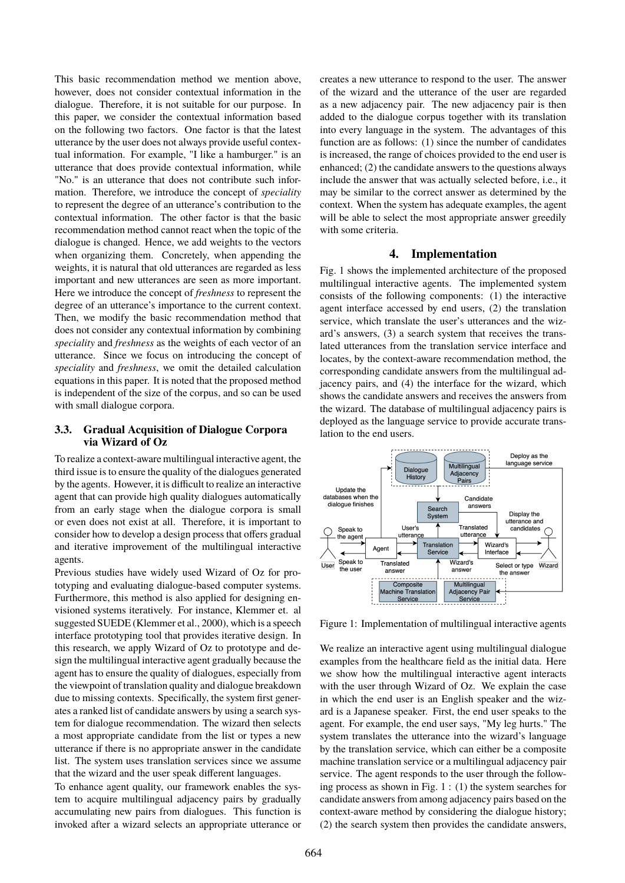This basic recommendation method we mention above, however, does not consider contextual information in the dialogue. Therefore, it is not suitable for our purpose. In this paper, we consider the contextual information based on the following two factors. One factor is that the latest utterance by the user does not always provide useful contextual information. For example, "I like a hamburger." is an utterance that does provide contextual information, while "No." is an utterance that does not contribute such information. Therefore, we introduce the concept of *speciality* to represent the degree of an utterance's contribution to the contextual information. The other factor is that the basic recommendation method cannot react when the topic of the dialogue is changed. Hence, we add weights to the vectors when organizing them. Concretely, when appending the weights, it is natural that old utterances are regarded as less important and new utterances are seen as more important. Here we introduce the concept of *freshness* to represent the degree of an utterance's importance to the current context. Then, we modify the basic recommendation method that does not consider any contextual information by combining *speciality* and *freshness* as the weights of each vector of an utterance. Since we focus on introducing the concept of *speciality* and *freshness*, we omit the detailed calculation equations in this paper. It is noted that the proposed method is independent of the size of the corpus, and so can be used with small dialogue corpora.

## **3.3. Gradual Acquisition of Dialogue Corpora via Wizard of Oz**

To realize a context-aware multilingual interactive agent, the third issue is to ensure the quality of the dialogues generated by the agents. However, it is difficult to realize an interactive agent that can provide high quality dialogues automatically from an early stage when the dialogue corpora is small or even does not exist at all. Therefore, it is important to consider how to develop a design process that offers gradual and iterative improvement of the multilingual interactive agents.

Previous studies have widely used Wizard of Oz for prototyping and evaluating dialogue-based computer systems. Furthermore, this method is also applied for designing envisioned systems iteratively. For instance, Klemmer et. al suggested SUEDE [\(Klemmer et al., 2000\)](#page-0-0), which is a speech interface prototyping tool that provides iterative design. In this research, we apply Wizard of Oz to prototype and design the multilingual interactive agent gradually because the agent has to ensure the quality of dialogues, especially from the viewpoint of translation quality and dialogue breakdown due to missing contexts. Specifically, the system first generates a ranked list of candidate answers by using a search system for dialogue recommendation. The wizard then selects a most appropriate candidate from the list or types a new utterance if there is no appropriate answer in the candidate list. The system uses translation services since we assume that the wizard and the user speak different languages.

To enhance agent quality, our framework enables the system to acquire multilingual adjacency pairs by gradually accumulating new pairs from dialogues. This function is invoked after a wizard selects an appropriate utterance or creates a new utterance to respond to the user. The answer of the wizard and the utterance of the user are regarded as a new adjacency pair. The new adjacency pair is then added to the dialogue corpus together with its translation into every language in the system. The advantages of this function are as follows: (1) since the number of candidates is increased, the range of choices provided to the end user is enhanced; (2) the candidate answers to the questions always include the answer that was actually selected before, i.e., it may be similar to the correct answer as determined by the context. When the system has adequate examples, the agent will be able to select the most appropriate answer greedily with some criteria.

#### **4. Implementation**

Fig. [1](#page-2-0) shows the implemented architecture of the proposed multilingual interactive agents. The implemented system consists of the following components: (1) the interactive agent interface accessed by end users, (2) the translation service, which translate the user's utterances and the wizard's answers, (3) a search system that receives the translated utterances from the translation service interface and locates, by the context-aware recommendation method, the corresponding candidate answers from the multilingual adjacency pairs, and (4) the interface for the wizard, which shows the candidate answers and receives the answers from the wizard. The database of multilingual adjacency pairs is deployed as the language service to provide accurate translation to the end users.



<span id="page-2-0"></span>Figure 1: Implementation of multilingual interactive agents

We realize an interactive agent using multilingual dialogue examples from the healthcare field as the initial data. Here we show how the multilingual interactive agent interacts with the user through Wizard of Oz. We explain the case in which the end user is an English speaker and the wizard is a Japanese speaker. First, the end user speaks to the agent. For example, the end user says, "My leg hurts." The system translates the utterance into the wizard's language by the translation service, which can either be a composite machine translation service or a multilingual adjacency pair service. The agent responds to the user through the following process as shown in Fig. [1](#page-2-0) : (1) the system searches for candidate answers from among adjacency pairs based on the context-aware method by considering the dialogue history; (2) the search system then provides the candidate answers,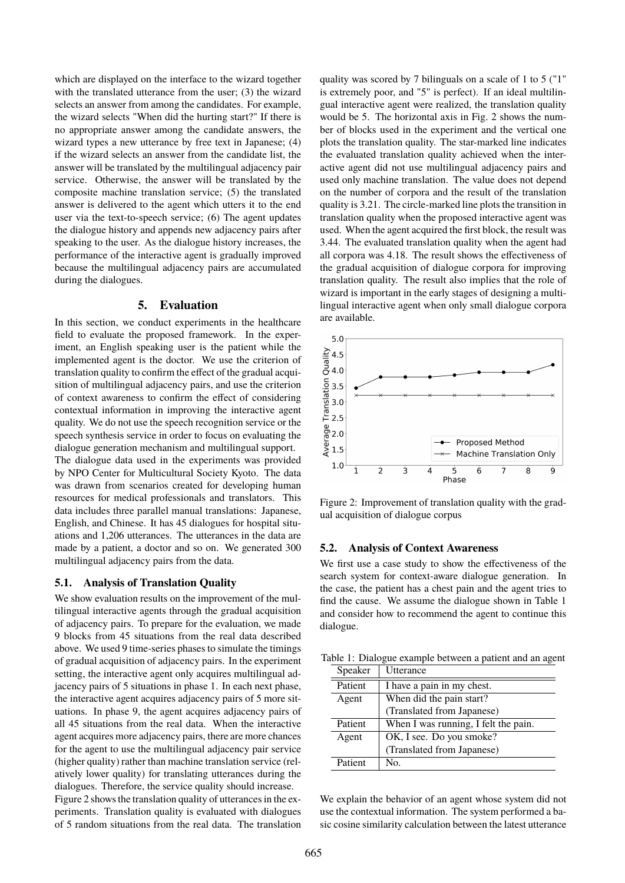which are displayed on the interface to the wizard together with the translated utterance from the user; (3) the wizard selects an answer from among the candidates. For example, the wizard selects "When did the hurting start?" If there is no appropriate answer among the candidate answers, the wizard types a new utterance by free text in Japanese; (4) if the wizard selects an answer from the candidate list, the answer will be translated by the multilingual adjacency pair service. Otherwise, the answer will be translated by the composite machine translation service; (5) the translated answer is delivered to the agent which utters it to the end user via the text-to-speech service; (6) The agent updates the dialogue history and appends new adjacency pairs after speaking to the user. As the dialogue history increases, the performance of the interactive agent is gradually improved because the multilingual adjacency pairs are accumulated during the dialogues.

#### **5. Evaluation**

In this section, we conduct experiments in the healthcare field to evaluate the proposed framework. In the experiment, an English speaking user is the patient while the implemented agent is the doctor. We use the criterion of translation quality to confirm the effect of the gradual acquisition of multilingual adjacency pairs, and use the criterion of context awareness to confirm the effect of considering contextual information in improving the interactive agent quality. We do not use the speech recognition service or the speech synthesis service in order to focus on evaluating the dialogue generation mechanism and multilingual support.

The dialogue data used in the experiments was provided by NPO Center for Multicultural Society Kyoto. The data was drawn from scenarios created for developing human resources for medical professionals and translators. This data includes three parallel manual translations: Japanese, English, and Chinese. It has 45 dialogues for hospital situations and 1,206 utterances. The utterances in the data are made by a patient, a doctor and so on. We generated 300 multilingual adjacency pairs from the data.

#### **5.1. Analysis of Translation Quality**

We show evaluation results on the improvement of the multilingual interactive agents through the gradual acquisition of adjacency pairs. To prepare for the evaluation, we made 9 blocks from 45 situations from the real data described above. We used 9 time-series phases to simulate the timings of gradual acquisition of adjacency pairs. In the experiment setting, the interactive agent only acquires multilingual adjacency pairs of 5 situations in phase 1. In each next phase, the interactive agent acquires adjacency pairs of 5 more situations. In phase 9, the agent acquires adjacency pairs of all 45 situations from the real data. When the interactive agent acquires more adjacency pairs, there are more chances for the agent to use the multilingual adjacency pair service (higher quality) rather than machine translation service (relatively lower quality) for translating utterances during the dialogues. Therefore, the service quality should increase.

Figure [2](#page-3-0) shows the translation quality of utterances in the experiments. Translation quality is evaluated with dialogues of 5 random situations from the real data. The translation quality was scored by 7 bilinguals on a scale of 1 to 5 ("1" is extremely poor, and "5" is perfect). If an ideal multilingual interactive agent were realized, the translation quality would be 5. The horizontal axis in Fig. [2](#page-3-0) shows the number of blocks used in the experiment and the vertical one plots the translation quality. The star-marked line indicates the evaluated translation quality achieved when the interactive agent did not use multilingual adjacency pairs and used only machine translation. The value does not depend on the number of corpora and the result of the translation quality is 3.21. The circle-marked line plots the transition in translation quality when the proposed interactive agent was used. When the agent acquired the first block, the result was 3.44. The evaluated translation quality when the agent had all corpora was 4.18. The result shows the effectiveness of the gradual acquisition of dialogue corpora for improving translation quality. The result also implies that the role of wizard is important in the early stages of designing a multilingual interactive agent when only small dialogue corpora are available.



<span id="page-3-0"></span>Figure 2: Improvement of translation quality with the gradual acquisition of dialogue corpus

#### **5.2. Analysis of Context Awareness**

We first use a case study to show the effectiveness of the search system for context-aware dialogue generation. In the case, the patient has a chest pain and the agent tries to find the cause. We assume the dialogue shown in Table [1](#page-3-1) and consider how to recommend the agent to continue this dialogue.

Table 1: Dialogue example between a patient and an agent

<span id="page-3-1"></span>

| Speaker | Utterance                            |  |
|---------|--------------------------------------|--|
| Patient | I have a pain in my chest.           |  |
| Agent   | When did the pain start?             |  |
|         | (Translated from Japanese)           |  |
| Patient | When I was running, I felt the pain. |  |
| Agent   | OK, I see. Do you smoke?             |  |
|         | (Translated from Japanese)           |  |
| Patient | No.                                  |  |

We explain the behavior of an agent whose system did not use the contextual information. The system performed a basic cosine similarity calculation between the latest utterance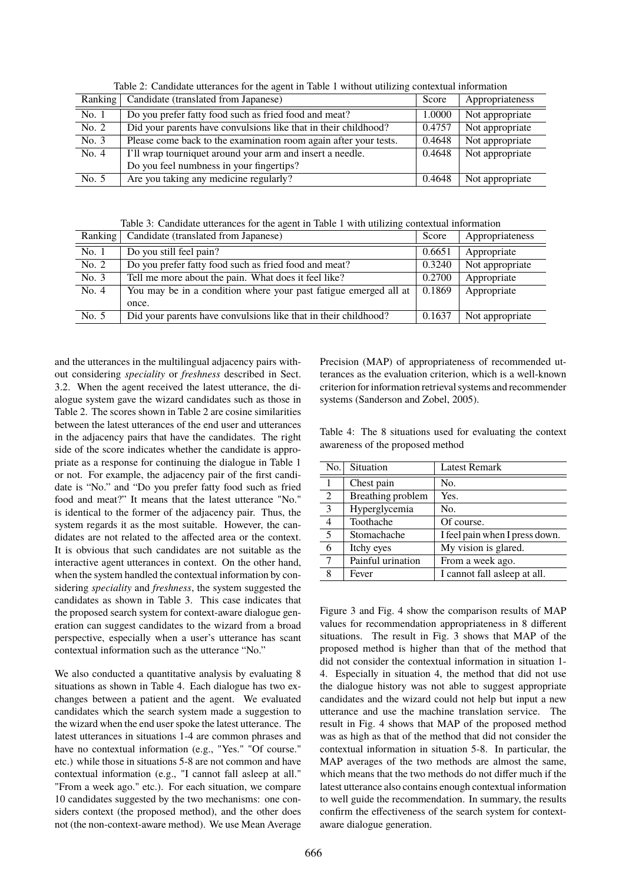| .  Contentante externate for the experient in those I have on extinuing evilyone information |                                                                  |        |                 |  |
|----------------------------------------------------------------------------------------------|------------------------------------------------------------------|--------|-----------------|--|
|                                                                                              | Ranking   Candidate (translated from Japanese)                   |        | Appropriateness |  |
| No. 1                                                                                        | Do you prefer fatty food such as fried food and meat?            |        | Not appropriate |  |
| No. $2$                                                                                      | Did your parents have convulsions like that in their childhood?  |        | Not appropriate |  |
| No. 3                                                                                        | Please come back to the examination room again after your tests. |        | Not appropriate |  |
| No. $4$                                                                                      | I'll wrap tourniquet around your arm and insert a needle.        |        | Not appropriate |  |
|                                                                                              | Do you feel numbness in your fingertips?                         |        |                 |  |
| No. 5                                                                                        | Are you taking any medicine regularly?                           | 0.4648 | Not appropriate |  |

<span id="page-4-0"></span>Table 2: Candidate utterances for the agent in Table [1](#page-3-1) without utilizing contextual information

<span id="page-4-1"></span>Table 3: Candidate utterances for the agent in Table [1](#page-3-1) with utilizing contextual information

| Ranking $\vert$ | Candidate (translated from Japanese)                             |        | Appropriateness |
|-----------------|------------------------------------------------------------------|--------|-----------------|
| No. 1           | Do you still feel pain?                                          |        | Appropriate     |
| No. $2$         | Do you prefer fatty food such as fried food and meat?            |        | Not appropriate |
| No. $3$         | Tell me more about the pain. What does it feel like?             |        | Appropriate     |
| No. $4$         | You may be in a condition where your past fatigue emerged all at |        | Appropriate     |
|                 | once.                                                            |        |                 |
| No. 5           | Did your parents have convulsions like that in their childhood?  | 0.1637 | Not appropriate |

and the utterances in the multilingual adjacency pairs without considering *speciality* or *freshness* described in Sect. 3.2. When the agent received the latest utterance, the dialogue system gave the wizard candidates such as those in Table [2.](#page-4-0) The scores shown in Table [2](#page-4-0) are cosine similarities between the latest utterances of the end user and utterances in the adjacency pairs that have the candidates. The right side of the score indicates whether the candidate is appropriate as a response for continuing the dialogue in Table [1](#page-3-1) or not. For example, the adjacency pair of the first candidate is "No." and "Do you prefer fatty food such as fried food and meat?" It means that the latest utterance "No." is identical to the former of the adjacency pair. Thus, the system regards it as the most suitable. However, the candidates are not related to the affected area or the context. It is obvious that such candidates are not suitable as the interactive agent utterances in context. On the other hand, when the system handled the contextual information by considering *speciality* and *freshness*, the system suggested the candidates as shown in Table [3.](#page-4-1) This case indicates that the proposed search system for context-aware dialogue generation can suggest candidates to the wizard from a broad perspective, especially when a user's utterance has scant contextual information such as the utterance "No."

We also conducted a quantitative analysis by evaluating 8 situations as shown in Table [4.](#page-4-2) Each dialogue has two exchanges between a patient and the agent. We evaluated candidates which the search system made a suggestion to the wizard when the end user spoke the latest utterance. The latest utterances in situations 1-4 are common phrases and have no contextual information (e.g., "Yes." "Of course." etc.) while those in situations 5-8 are not common and have contextual information (e.g., "I cannot fall asleep at all." "From a week ago." etc.). For each situation, we compare 10 candidates suggested by the two mechanisms: one considers context (the proposed method), and the other does not (the non-context-aware method). We use Mean Average Precision (MAP) of appropriateness of recommended utterances as the evaluation criterion, which is a well-known criterion for information retrieval systems and recommender systems [\(Sanderson and Zobel, 2005\)](#page-0-0).

<span id="page-4-2"></span>Table 4: The 8 situations used for evaluating the context awareness of the proposed method

| No.            | Situation         | <b>Latest Remark</b>                     |
|----------------|-------------------|------------------------------------------|
| 1              | Chest pain        | No.                                      |
| $\overline{2}$ | Breathing problem | Yes.                                     |
| $\overline{3}$ | Hyperglycemia     | No.                                      |
| $\overline{4}$ | Toothache         | Of course.                               |
| $\overline{5}$ | Stomachache       | I feel pain when I press down.           |
| 6              | Itchy eyes        | $\overline{\text{My}}$ vision is glared. |
| 7              | Painful urination | From a week ago.                         |
| 8              | Fever             | I cannot fall as leep at all.            |

Figure [3](#page-5-0) and Fig. [4](#page-5-1) show the comparison results of MAP values for recommendation appropriateness in 8 different situations. The result in Fig. [3](#page-5-0) shows that MAP of the proposed method is higher than that of the method that did not consider the contextual information in situation 1- 4. Especially in situation 4, the method that did not use the dialogue history was not able to suggest appropriate candidates and the wizard could not help but input a new utterance and use the machine translation service. The result in Fig. [4](#page-5-1) shows that MAP of the proposed method was as high as that of the method that did not consider the contextual information in situation 5-8. In particular, the MAP averages of the two methods are almost the same, which means that the two methods do not differ much if the latest utterance also contains enough contextual information to well guide the recommendation. In summary, the results confirm the effectiveness of the search system for contextaware dialogue generation.